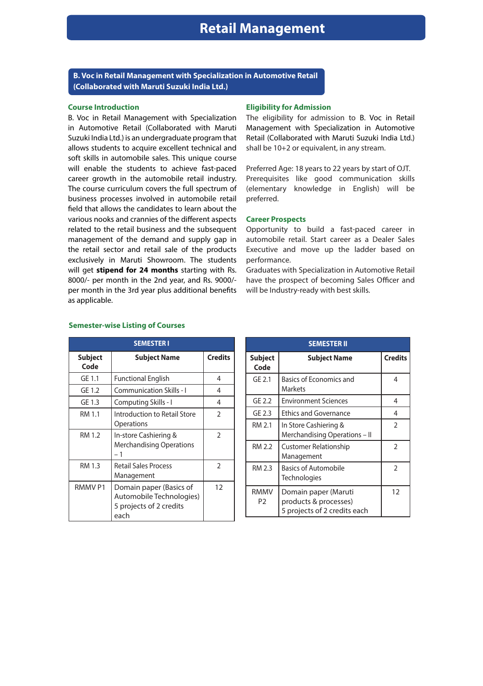**B. Voc in Retail Management with Specialization in Automotive Retail (Collaborated with Maruti Suzuki India Ltd.)**

## **Course Introduction**

B. Voc in Retail Management with Specialization in Automotive Retail (Collaborated with Maruti Suzuki India Ltd.) is an undergraduate program that allows students to acquire excellent technical and soft skills in automobile sales. This unique course will enable the students to achieve fast-paced career growth in the automobile retail industry. The course curriculum covers the full spectrum of business processes involved in automobile retail field that allows the candidates to learn about the various nooks and crannies of the different aspects related to the retail business and the subsequent management of the demand and supply gap in the retail sector and retail sale of the products exclusively in Maruti Showroom. The students will get **stipend for 24 months** starting with Rs. 8000/- per month in the 2nd year, and Rs. 9000/ per month in the 3rd year plus additional benefits as applicable.

| <b>SEMESTER I</b>      |                                                                                        |                |
|------------------------|----------------------------------------------------------------------------------------|----------------|
| <b>Subject</b><br>Code | <b>Subject Name</b>                                                                    | <b>Credits</b> |
| GE 1.1                 | <b>Functional English</b>                                                              | 4              |
| GE 1.2                 | Communication Skills - I                                                               | 4              |
| GE 1.3                 | Computing Skills - I                                                                   | 4              |
| RM 1.1                 | Introduction to Retail Store<br>Operations                                             | $\overline{2}$ |
| RM 1.2                 | In-store Cashiering &<br><b>Merchandising Operations</b><br>– 1                        | $\mathfrak{D}$ |
| RM 1.3                 | <b>Retail Sales Process</b><br>Management                                              | $\mathfrak{D}$ |
| RMMV <sub>P1</sub>     | Domain paper (Basics of<br>Automobile Technologies)<br>5 projects of 2 credits<br>each | 12             |

## **Semester-wise Listing of Courses**

## **Eligibility for Admission**

The eligibility for admission to B. Voc in Retail Management with Specialization in Automotive Retail (Collaborated with Maruti Suzuki India Ltd.) shall be 10+2 or equivalent, in any stream.

Preferred Age: 18 years to 22 years by start of OJT. Prerequisites like good communication skills (elementary knowledge in English) will be preferred.

## **Career Prospects**

Opportunity to build a fast-paced career in automobile retail. Start career as a Dealer Sales Executive and move up the ladder based on performance.

Graduates with Specialization in Automotive Retail have the prospect of becoming Sales Officer and will be Industry-ready with best skills.

| <b>SEMESTER II</b>     |                                                                               |                |
|------------------------|-------------------------------------------------------------------------------|----------------|
| <b>Subject</b><br>Code | <b>Subject Name</b>                                                           | <b>Credits</b> |
| GE 2.1                 | Basics of Economics and<br>Markets                                            | 4              |
| GE 2.2                 | <b>Environment Sciences</b>                                                   | 4              |
| GE 2.3                 | <b>Ethics and Governance</b>                                                  | 4              |
| RM 2.1                 | In Store Cashiering &<br>Merchandising Operations - II                        | $\overline{2}$ |
| RM 2.2                 | <b>Customer Relationship</b><br>Management                                    | $\overline{2}$ |
| RM 2.3                 | <b>Basics of Automobile</b><br>Technologies                                   | $\overline{2}$ |
| <b>RMMV</b><br>P2      | Domain paper (Maruti<br>products & processes)<br>5 projects of 2 credits each | 12             |